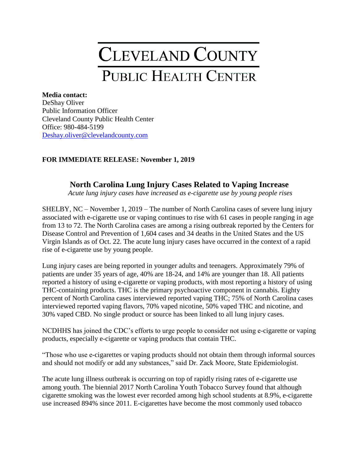## CLEVELAND COUNTY PUBLIC HEALTH CENTER

**Media contact:** DeShay Oliver Public Information Officer Cleveland County Public Health Center Office: 980-484-5199 [Deshay.oliver@clevelandcounty.com](mailto:Deshay.oliver@clevelandcounty.com)

## **FOR IMMEDIATE RELEASE: November 1, 2019**

## **North Carolina Lung Injury Cases Related to Vaping Increase**

*Acute lung injury cases have increased as e-cigarette use by young people rises*

SHELBY, NC – November 1, 2019 – The number of North Carolina cases of severe lung injury associated with e-cigarette use or vaping continues to rise with 61 cases in people ranging in age from 13 to 72. The North Carolina cases are among a rising outbreak reported by the Centers for Disease Control and Prevention of 1,604 cases and 34 deaths in the United States and the US Virgin Islands as of Oct. 22. The acute lung injury cases have occurred in the context of a rapid rise of e-cigarette use by young people.

Lung injury cases are being reported in younger adults and teenagers. Approximately 79% of patients are under 35 years of age, 40% are 18-24, and 14% are younger than 18. All patients reported a history of using e-cigarette or vaping products, with most reporting a history of using THC-containing products. THC is the primary psychoactive component in cannabis. Eighty percent of North Carolina cases interviewed reported vaping THC; 75% of North Carolina cases interviewed reported vaping flavors, 70% vaped nicotine, 50% vaped THC and nicotine, and 30% vaped CBD. No single product or source has been linked to all lung injury cases.

NCDHHS has joined the CDC's efforts to urge people to consider not using e-cigarette or vaping products, especially e-cigarette or vaping products that contain THC.

"Those who use e-cigarettes or vaping products should not obtain them through informal sources and should not modify or add any substances," said Dr. Zack Moore, State Epidemiologist.

The acute lung illness outbreak is occurring on top of rapidly rising rates of e-cigarette use among youth. The biennial 2017 North Carolina Youth Tobacco Survey found that although cigarette smoking was the lowest ever recorded among high school students at 8.9%, e-cigarette use increased 894% since 2011. E-cigarettes have become the most commonly used tobacco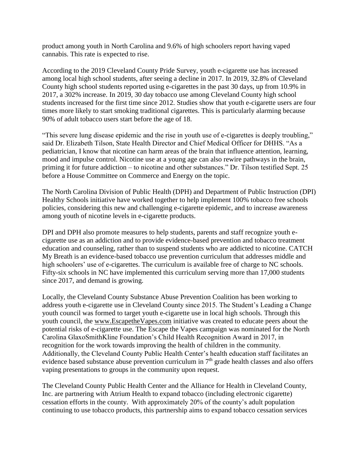product among youth in North Carolina and 9.6% of high schoolers report having vaped cannabis. This rate is expected to rise.

According to the 2019 Cleveland County Pride Survey, youth e-cigarette use has increased among local high school students, after seeing a decline in 2017. In 2019, 32.8% of Cleveland County high school students reported using e-cigarettes in the past 30 days, up from 10.9% in 2017, a 302% increase. In 2019, 30 day tobacco use among Cleveland County high school students increased for the first time since 2012. Studies show that youth e-cigarette users are four times more likely to start smoking traditional cigarettes. This is particularly alarming because 90% of adult tobacco users start before the age of 18.

"This severe lung disease epidemic and the rise in youth use of e-cigarettes is deeply troubling," said Dr. Elizabeth Tilson, State Health Director and Chief Medical Officer for DHHS. "As a pediatrician, I know that nicotine can harm areas of the brain that influence attention, learning, mood and impulse control. Nicotine use at a young age can also rewire pathways in the brain, priming it for future addiction – to nicotine and other substances." Dr. Tilson testified Sept. 25 before a House Committee on Commerce and Energy on the topic.

The North Carolina Division of Public Health (DPH) and Department of Public Instruction (DPI) Healthy Schools initiative have worked together to help implement 100% tobacco free schools policies, considering this new and challenging e-cigarette epidemic, and to increase awareness among youth of nicotine levels in e-cigarette products.

DPI and DPH also promote measures to help students, parents and staff recognize youth ecigarette use as an addiction and to provide evidence-based prevention and tobacco treatment education and counseling, rather than to suspend students who are addicted to nicotine. CATCH My Breath is an evidence-based tobacco use prevention curriculum that addresses middle and high schoolers' use of e-cigarettes. The curriculum is available free of charge to NC schools. Fifty-six schools in NC have implemented this curriculum serving more than 17,000 students since 2017, and demand is growing.

Locally, the Cleveland County Substance Abuse Prevention Coalition has been working to address youth e-cigarette use in Cleveland County since 2015. The Student's Leading a Change youth council was formed to target youth e-cigarette use in local high schools. Through this youth council, the [www.EscapetheVapes.com](http://www.escapethevapes.com/) initiative was created to educate peers about the potential risks of e-cigarette use. The Escape the Vapes campaign was nominated for the North Carolina GlaxoSmithKline Foundation's Child Health Recognition Award in 2017, in recognition for the work towards improving the health of children in the community. Additionally, the Cleveland County Public Health Center's health education staff facilitates an evidence based substance abuse prevention curriculum in  $7<sup>th</sup>$  grade health classes and also offers vaping presentations to groups in the community upon request.

The Cleveland County Public Health Center and the Alliance for Health in Cleveland County, Inc. are partnering with Atrium Health to expand tobacco (including electronic cigarette) cessation efforts in the county. With approximately 20% of the county's adult population continuing to use tobacco products, this partnership aims to expand tobacco cessation services